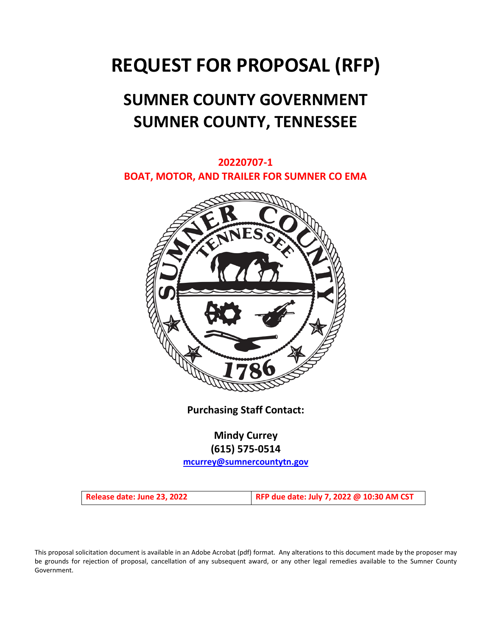# **REQUEST FOR PROPOSAL (RFP)**

# **SUMNER COUNTY GOVERNMENT SUMNER COUNTY, TENNESSEE**

# **20220707-1 BOAT, MOTOR, AND TRAILER FOR SUMNER CO EMA**



**Purchasing Staff Contact:**

# **Mindy Currey (615) 575-0514**

**[mcurrey@sumnercountytn.gov](mailto:mcurrey@sumnercountytn.gov)**

**Release date: June 23, 2022 RFP due date: July 7, 2022 @ 10:30 AM CST**

This proposal solicitation document is available in an Adobe Acrobat (pdf) format. Any alterations to this document made by the proposer may be grounds for rejection of proposal, cancellation of any subsequent award, or any other legal remedies available to the Sumner County Government.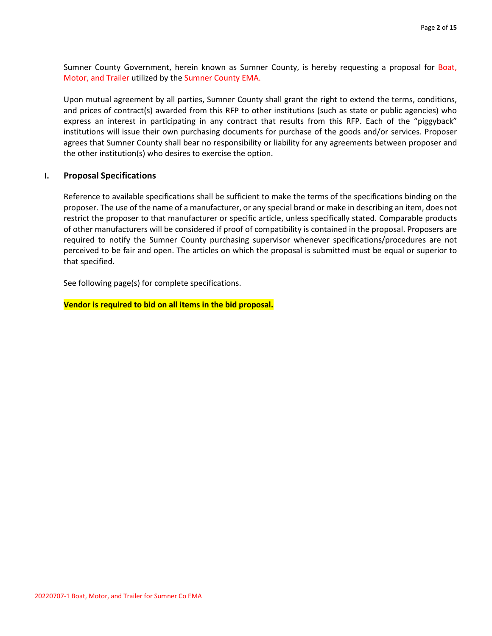Sumner County Government, herein known as Sumner County, is hereby requesting a proposal for Boat, Motor, and Trailer utilized by the Sumner County EMA.

Upon mutual agreement by all parties, Sumner County shall grant the right to extend the terms, conditions, and prices of contract(s) awarded from this RFP to other institutions (such as state or public agencies) who express an interest in participating in any contract that results from this RFP. Each of the "piggyback" institutions will issue their own purchasing documents for purchase of the goods and/or services. Proposer agrees that Sumner County shall bear no responsibility or liability for any agreements between proposer and the other institution(s) who desires to exercise the option.

#### **I. Proposal Specifications**

Reference to available specifications shall be sufficient to make the terms of the specifications binding on the proposer. The use of the name of a manufacturer, or any special brand or make in describing an item, does not restrict the proposer to that manufacturer or specific article, unless specifically stated. Comparable products of other manufacturers will be considered if proof of compatibility is contained in the proposal. Proposers are required to notify the Sumner County purchasing supervisor whenever specifications/procedures are not perceived to be fair and open. The articles on which the proposal is submitted must be equal or superior to that specified.

See following page(s) for complete specifications.

**Vendor is required to bid on all items in the bid proposal.**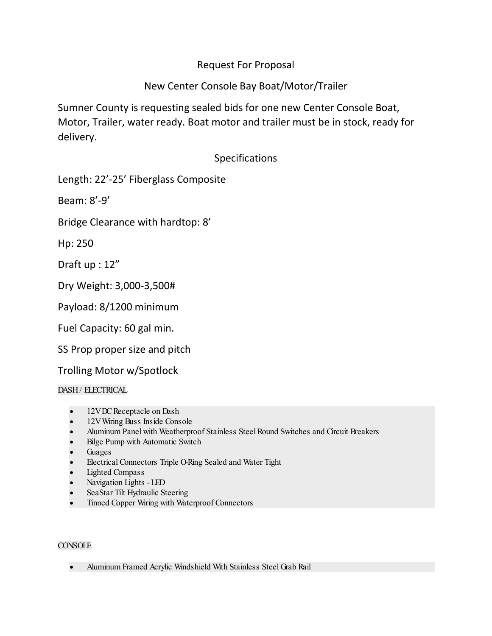# Request For Proposal

# New Center Console Bay Boat/Motor/Trailer

Sumner County is requesting sealed bids for one new Center Console Boat, Motor, Trailer, water ready. Boat motor and trailer must be in stock, ready for delivery.

# Specifications

Length: 22'-25' Fiberglass Composite

Beam: 8'-9'

Bridge Clearance with hardtop: 8'

Hp: 250

Draft up : 12"

Dry Weight: 3,000-3,500#

Payload: 8/1200 minimum

Fuel Capacity: 60 gal min.

SS Prop proper size and pitch

Trolling Motor w/Spotlock

# DASH / ELECTRICAL

- 12VDC Receptacle on Dash
- 12V Wiring Buss Inside Console
- Aluminum Panel with Weatherproof Stainless Steel Round Switches and Circuit Breakers
- Bilge Pump with Automatic Switch
- **Guages**
- Electrical Connectors Triple O-Ring Sealed and Water Tight
- Lighted Compass
- Navigation Lights -LED
- SeaStar Tilt Hydraulic Steering
- Tinned Copper Wiring with Waterproof Connectors

# **CONSOLE**

• Aluminum Framed Acrylic Windshield With Stainless Steel Grab Rail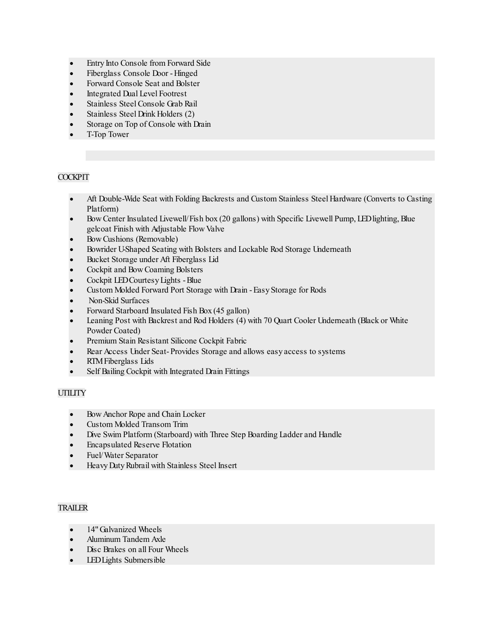- Entry Into Console from Forward Side
- Fiberglass Console Door -Hinged
- Forward Console Seat and Bolster
- Integrated Dual Level Footrest
- Stainless Steel Console Grab Rail
- Stainless Steel Drink Holders (2)
- Storage on Top of Console with Drain
- T-Top Tower

# **COCKPIT**

- Aft Double-Wide Seat with Folding Backrests and Custom Stainless Steel Hardware (Converts to Casting Platform)
- Bow Center Insulated Livewell/Fish box (20 gallons) with Specific Livewell Pump, LED lighting, Blue gelcoat Finish with Adjustable Flow Valve
- Bow Cushions (Removable)
- Bowrider U-Shaped Seating with Bolsters and Lockable Rod Storage Underneath
- Bucket Storage under Aft Fiberglass Lid
- Cockpit and Bow Coaming Bolsters
- Cockpit LED Courtesy Lights -Blue
- Custom Molded Forward Port Storage with Drain -Easy Storage for Rods
- Non-Skid Surfaces
- Forward Starboard Insulated Fish Box (45 gallon)
- Leaning Post with Backrest and Rod Holders (4) with 70 Quart Cooler Underneath (Black or White Powder Coated)
- Premium Stain Resistant Silicone Cockpit Fabric
- Rear Access Under Seat-Provides Storage and allows easy access to systems
- RTM Fiberglass Lids
- Self Bailing Cockpit with Integrated Drain Fittings

## **UTILITY**

- Bow Anchor Rope and Chain Locker
- Custom Molded Transom Trim
- Dive Swim Platform (Starboard) with Three Step Boarding Ladder and Handle
- Encapsulated Reserve Flotation
- Fuel/Water Separator
- Heavy Duty Rubrail with Stainless Steel Insert

#### **TRAILER**

- 14" Galvanized Wheels
- Aluminum Tandem Axle
- Disc Brakes on all Four Wheels
- LED Lights Submersible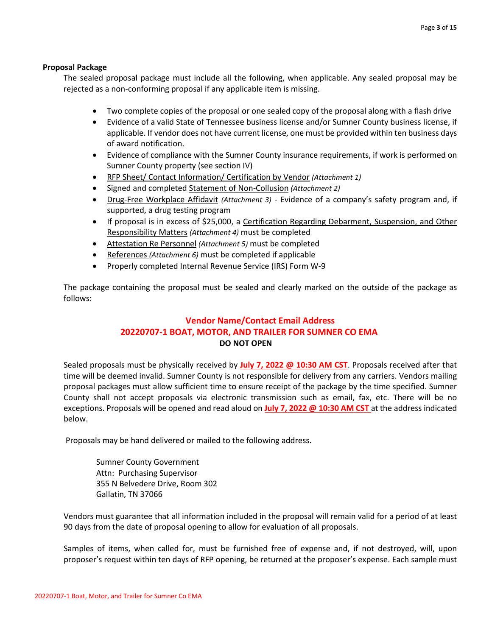#### **Proposal Package**

The sealed proposal package must include all the following, when applicable. Any sealed proposal may be rejected as a non-conforming proposal if any applicable item is missing.

- Two complete copies of the proposal or one sealed copy of the proposal along with a flash drive
- Evidence of a valid State of Tennessee business license and/or Sumner County business license, if applicable. If vendor does not have current license, one must be provided within ten business days of award notification.
- Evidence of compliance with the Sumner County insurance requirements, if work is performed on Sumner County property (see section IV)
- RFP Sheet/ Contact Information/ Certification by Vendor *(Attachment 1)*
- Signed and completed Statement of Non-Collusion *(Attachment 2)*
- Drug-Free Workplace Affidavit *(Attachment 3)* Evidence of a company's safety program and, if supported, a drug testing program
- If proposal is in excess of \$25,000, a Certification Regarding Debarment, Suspension, and Other Responsibility Matters *(Attachment 4)* must be completed
- Attestation Re Personnel *(Attachment 5)* must be completed
- References *(Attachment 6)* must be completed if applicable
- Properly completed Internal Revenue Service (IRS) Form W-9

The package containing the proposal must be sealed and clearly marked on the outside of the package as follows:

# **Vendor Name/Contact Email Address 20220707-1 BOAT, MOTOR, AND TRAILER FOR SUMNER CO EMA DO NOT OPEN**

Sealed proposals must be physically received by **July 7, 2022 @ 10:30 AM CST**. Proposals received after that time will be deemed invalid. Sumner County is not responsible for delivery from any carriers. Vendors mailing proposal packages must allow sufficient time to ensure receipt of the package by the time specified. Sumner County shall not accept proposals via electronic transmission such as email, fax, etc. There will be no exceptions. Proposals will be opened and read aloud on **July 7, 2022 @ 10:30 AM CST** at the address indicated below.

Proposals may be hand delivered or mailed to the following address.

Sumner County Government Attn: Purchasing Supervisor 355 N Belvedere Drive, Room 302 Gallatin, TN 37066

Vendors must guarantee that all information included in the proposal will remain valid for a period of at least 90 days from the date of proposal opening to allow for evaluation of all proposals.

Samples of items, when called for, must be furnished free of expense and, if not destroyed, will, upon proposer's request within ten days of RFP opening, be returned at the proposer's expense. Each sample must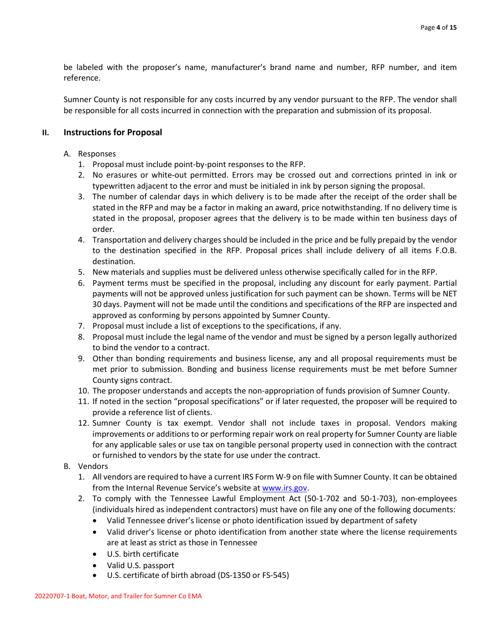be labeled with the proposer's name, manufacturer's brand name and number, RFP number, and item reference.

Sumner County is not responsible for any costs incurred by any vendor pursuant to the RFP. The vendor shall be responsible for all costs incurred in connection with the preparation and submission of its proposal.

## **II. Instructions for Proposal**

#### A. Responses

- 1. Proposal must include point-by-point responses to the RFP.
- 2. No erasures or white-out permitted. Errors may be crossed out and corrections printed in ink or typewritten adjacent to the error and must be initialed in ink by person signing the proposal.
- 3. The number of calendar days in which delivery is to be made after the receipt of the order shall be stated in the RFP and may be a factor in making an award, price notwithstanding. If no delivery time is stated in the proposal, proposer agrees that the delivery is to be made within ten business days of order.
- 4. Transportation and delivery charges should be included in the price and be fully prepaid by the vendor to the destination specified in the RFP. Proposal prices shall include delivery of all items F.O.B. destination.
- 5. New materials and supplies must be delivered unless otherwise specifically called for in the RFP.
- 6. Payment terms must be specified in the proposal, including any discount for early payment. Partial payments will not be approved unless justification for such payment can be shown. Terms will be NET 30 days. Payment will not be made until the conditions and specifications of the RFP are inspected and approved as conforming by persons appointed by Sumner County.
- 7. Proposal must include a list of exceptions to the specifications, if any.
- 8. Proposal must include the legal name of the vendor and must be signed by a person legally authorized to bind the vendor to a contract.
- 9. Other than bonding requirements and business license, any and all proposal requirements must be met prior to submission. Bonding and business license requirements must be met before Sumner County signs contract.
- 10. The proposer understands and accepts the non-appropriation of funds provision of Sumner County.
- 11. If noted in the section "proposal specifications" or if later requested, the proposer will be required to provide a reference list of clients.
- 12. Sumner County is tax exempt. Vendor shall not include taxes in proposal. Vendors making improvements or additions to or performing repair work on real property for Sumner County are liable for any applicable sales or use tax on tangible personal property used in connection with the contract or furnished to vendors by the state for use under the contract.
- B. Vendors
	- 1. All vendors are required to have a current IRS Form W-9 on file with Sumner County. It can be obtained from the Internal Revenue Service's website a[t www.irs.gov.](http://www.irs.gov/)
	- 2. To comply with the Tennessee Lawful Employment Act (50-1-702 and 50-1-703), non-employees (individuals hired as independent contractors) must have on file any one of the following documents:
		- Valid Tennessee driver's license or photo identification issued by department of safety
		- Valid driver's license or photo identification from another state where the license requirements are at least as strict as those in Tennessee
		- U.S. birth certificate
		- Valid U.S. passport
		- U.S. certificate of birth abroad (DS-1350 or FS-545)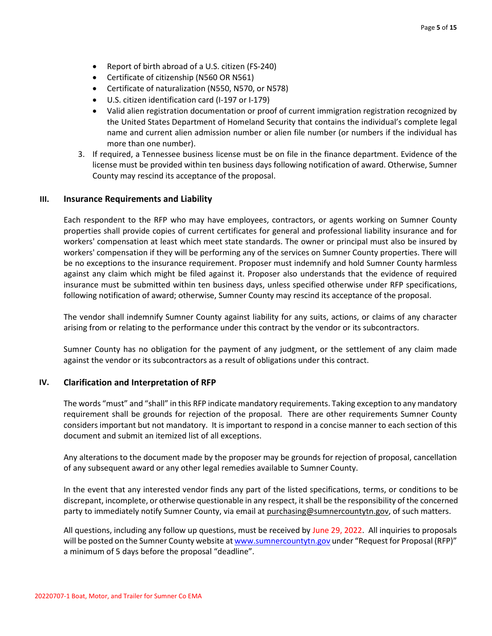- Report of birth abroad of a U.S. citizen (FS-240)
- Certificate of citizenship (N560 OR N561)
- Certificate of naturalization (N550, N570, or N578)
- U.S. citizen identification card (I-197 or I-179)
- Valid alien registration documentation or proof of current immigration registration recognized by the United States Department of Homeland Security that contains the individual's complete legal name and current alien admission number or alien file number (or numbers if the individual has more than one number).
- 3. If required, a Tennessee business license must be on file in the finance department. Evidence of the license must be provided within ten business days following notification of award. Otherwise, Sumner County may rescind its acceptance of the proposal.

#### **III. Insurance Requirements and Liability**

Each respondent to the RFP who may have employees, contractors, or agents working on Sumner County properties shall provide copies of current certificates for general and professional liability insurance and for workers' compensation at least which meet state standards. The owner or principal must also be insured by workers' compensation if they will be performing any of the services on Sumner County properties. There will be no exceptions to the insurance requirement. Proposer must indemnify and hold Sumner County harmless against any claim which might be filed against it. Proposer also understands that the evidence of required insurance must be submitted within ten business days, unless specified otherwise under RFP specifications, following notification of award; otherwise, Sumner County may rescind its acceptance of the proposal.

The vendor shall indemnify Sumner County against liability for any suits, actions, or claims of any character arising from or relating to the performance under this contract by the vendor or its subcontractors.

Sumner County has no obligation for the payment of any judgment, or the settlement of any claim made against the vendor or its subcontractors as a result of obligations under this contract.

#### **IV. Clarification and Interpretation of RFP**

The words "must" and "shall" in this RFP indicate mandatory requirements. Taking exception to any mandatory requirement shall be grounds for rejection of the proposal. There are other requirements Sumner County considers important but not mandatory. It is important to respond in a concise manner to each section of this document and submit an itemized list of all exceptions.

Any alterations to the document made by the proposer may be grounds for rejection of proposal, cancellation of any subsequent award or any other legal remedies available to Sumner County.

In the event that any interested vendor finds any part of the listed specifications, terms, or conditions to be discrepant, incomplete, or otherwise questionable in any respect, it shall be the responsibility of the concerned party to immediately notify Sumner County, via email at purchasing@sumnercountytn.gov, of such matters.

All questions, including any follow up questions, must be received by June 29, 2022. All inquiries to proposals will be posted on the Sumner County website a[t www.sumnercountytn.gov](http://www.sumnercountytn.gov/) under "Request for Proposal (RFP)" a minimum of 5 days before the proposal "deadline".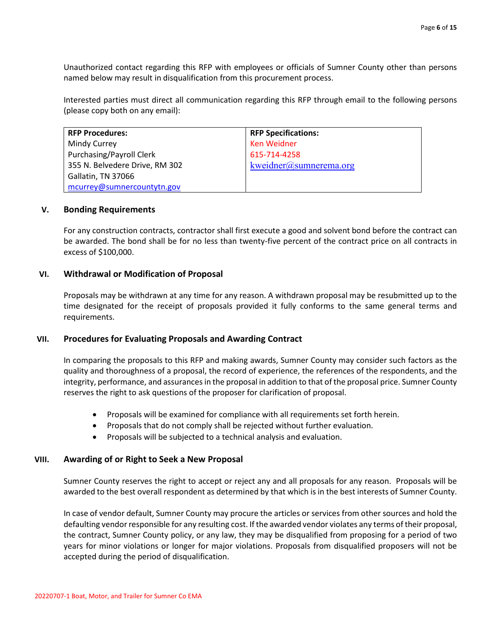Unauthorized contact regarding this RFP with employees or officials of Sumner County other than persons named below may result in disqualification from this procurement process.

Interested parties must direct all communication regarding this RFP through email to the following persons (please copy both on any email):

| <b>RFP Procedures:</b>          | <b>RFP Specifications:</b> |
|---------------------------------|----------------------------|
| Mindy Currey                    | <b>Ken Weidner</b>         |
| <b>Purchasing/Payroll Clerk</b> | 615-714-4258               |
| 355 N. Belvedere Drive, RM 302  | kweidner@sumnerem a.org    |
| Gallatin, TN 37066              |                            |
| mcurrey@sumnercountytn.gov      |                            |

#### **V. Bonding Requirements**

For any construction contracts, contractor shall first execute a good and solvent bond before the contract can be awarded. The bond shall be for no less than twenty-five percent of the contract price on all contracts in excess of \$100,000.

#### **VI. Withdrawal or Modification of Proposal**

Proposals may be withdrawn at any time for any reason. A withdrawn proposal may be resubmitted up to the time designated for the receipt of proposals provided it fully conforms to the same general terms and requirements.

#### **VII. Procedures for Evaluating Proposals and Awarding Contract**

In comparing the proposals to this RFP and making awards, Sumner County may consider such factors as the quality and thoroughness of a proposal, the record of experience, the references of the respondents, and the integrity, performance, and assurances in the proposal in addition to that of the proposal price. Sumner County reserves the right to ask questions of the proposer for clarification of proposal.

- Proposals will be examined for compliance with all requirements set forth herein.
- Proposals that do not comply shall be rejected without further evaluation.
- Proposals will be subjected to a technical analysis and evaluation.

#### **VIII. Awarding of or Right to Seek a New Proposal**

Sumner County reserves the right to accept or reject any and all proposals for any reason.Proposals will be awarded to the best overall respondent as determined by that which is in the best interests of Sumner County.

In case of vendor default, Sumner County may procure the articles or services from other sources and hold the defaulting vendor responsible for any resulting cost. If the awarded vendor violates any terms of their proposal, the contract, Sumner County policy, or any law, they may be disqualified from proposing for a period of two years for minor violations or longer for major violations. Proposals from disqualified proposers will not be accepted during the period of disqualification.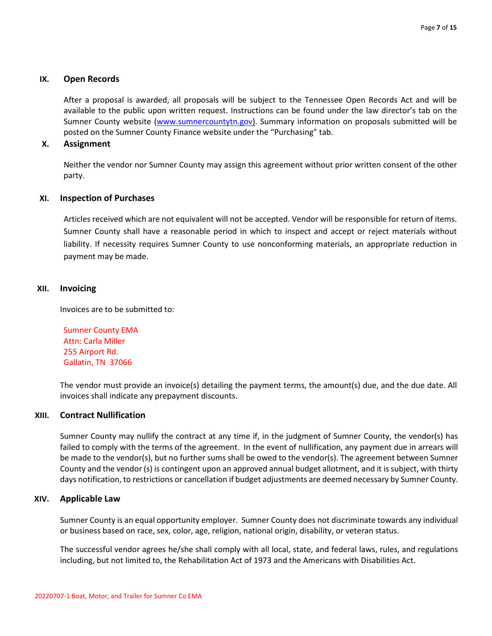#### **IX. Open Records**

After a proposal is awarded, all proposals will be subject to the Tennessee Open Records Act and will be available to the public upon written request. Instructions can be found under the law director's tab on the Sumner County website [\(www.sumnercountytn.gov\)](http://www.sumnercountytn.gov/). Summary information on proposals submitted will be posted on the Sumner County Finance website under the "Purchasing" tab.

#### **X. Assignment**

Neither the vendor nor Sumner County may assign this agreement without prior written consent of the other party.

#### **XI. Inspection of Purchases**

Articles received which are not equivalent will not be accepted. Vendor will be responsible for return of items. Sumner County shall have a reasonable period in which to inspect and accept or reject materials without liability. If necessity requires Sumner County to use nonconforming materials, an appropriate reduction in payment may be made.

#### **XII. Invoicing**

Invoices are to be submitted to:

Sumner County EMA Attn: Carla Miller 255 Airport Rd. Gallatin, TN 37066

The vendor must provide an invoice(s) detailing the payment terms, the amount(s) due, and the due date. All invoices shall indicate any prepayment discounts.

#### **XIII. Contract Nullification**

Sumner County may nullify the contract at any time if, in the judgment of Sumner County, the vendor(s) has failed to comply with the terms of the agreement. In the event of nullification, any payment due in arrears will be made to the vendor(s), but no further sums shall be owed to the vendor(s). The agreement between Sumner County and the vendor (s) is contingent upon an approved annual budget allotment, and it is subject, with thirty days notification, to restrictions or cancellation if budget adjustments are deemed necessary by Sumner County.

#### **XIV. Applicable Law**

Sumner County is an equal opportunity employer. Sumner County does not discriminate towards any individual or business based on race, sex, color, age, religion, national origin, disability, or veteran status.

The successful vendor agrees he/she shall comply with all local, state, and federal laws, rules, and regulations including, but not limited to, the Rehabilitation Act of 1973 and the Americans with Disabilities Act.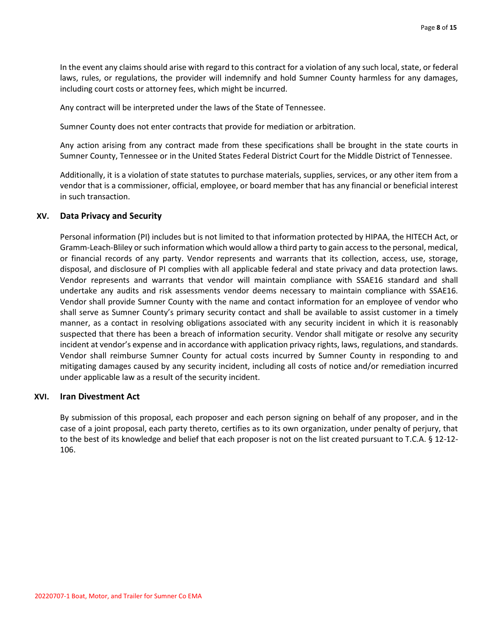In the event any claims should arise with regard to this contract for a violation of any such local, state, or federal laws, rules, or regulations, the provider will indemnify and hold Sumner County harmless for any damages, including court costs or attorney fees, which might be incurred.

Any contract will be interpreted under the laws of the State of Tennessee.

Sumner County does not enter contracts that provide for mediation or arbitration.

Any action arising from any contract made from these specifications shall be brought in the state courts in Sumner County, Tennessee or in the United States Federal District Court for the Middle District of Tennessee.

Additionally, it is a violation of state statutes to purchase materials, supplies, services, or any other item from a vendor that is a commissioner, official, employee, or board member that has any financial or beneficial interest in such transaction.

#### **XV. Data Privacy and Security**

Personal information (PI) includes but is not limited to that information protected by HIPAA, the HITECH Act, or Gramm-Leach-Bliley or such information which would allow a third party to gain access to the personal, medical, or financial records of any party. Vendor represents and warrants that its collection, access, use, storage, disposal, and disclosure of PI complies with all applicable federal and state privacy and data protection laws. Vendor represents and warrants that vendor will maintain compliance with SSAE16 standard and shall undertake any audits and risk assessments vendor deems necessary to maintain compliance with SSAE16. Vendor shall provide Sumner County with the name and contact information for an employee of vendor who shall serve as Sumner County's primary security contact and shall be available to assist customer in a timely manner, as a contact in resolving obligations associated with any security incident in which it is reasonably suspected that there has been a breach of information security. Vendor shall mitigate or resolve any security incident at vendor's expense and in accordance with application privacy rights, laws, regulations, and standards. Vendor shall reimburse Sumner County for actual costs incurred by Sumner County in responding to and mitigating damages caused by any security incident, including all costs of notice and/or remediation incurred under applicable law as a result of the security incident.

#### **XVI. Iran Divestment Act**

By submission of this proposal, each proposer and each person signing on behalf of any proposer, and in the case of a joint proposal, each party thereto, certifies as to its own organization, under penalty of perjury, that to the best of its knowledge and belief that each proposer is not on the list created pursuant to T.C.A. § 12-12- 106.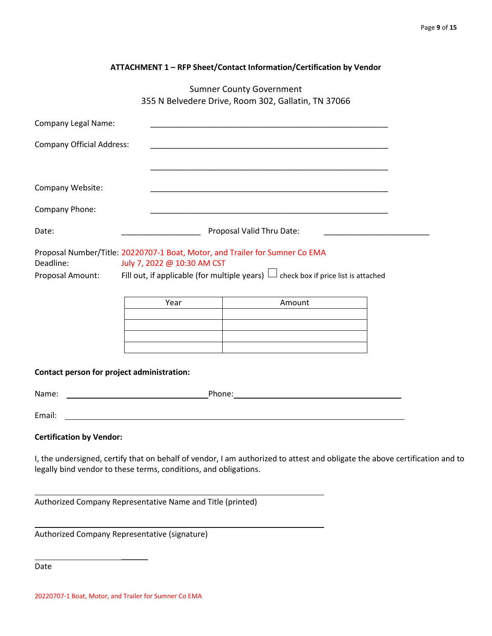| ATTACHMENT 1 - RFP Sheet/Contact Information/Certification by Vendor |  |
|----------------------------------------------------------------------|--|
|----------------------------------------------------------------------|--|

Sumner County Government 355 N Belvedere Drive, Room 302, Gallatin, TN 37066

| <b>Company Legal Name:</b>                                                                                                                                                                                                                     |                                                                  | <u> 1980 - Johann John Stone, mars eta biztanleria (h. 1980).</u>                                                                                                                             |  |
|------------------------------------------------------------------------------------------------------------------------------------------------------------------------------------------------------------------------------------------------|------------------------------------------------------------------|-----------------------------------------------------------------------------------------------------------------------------------------------------------------------------------------------|--|
| <b>Company Official Address:</b>                                                                                                                                                                                                               |                                                                  |                                                                                                                                                                                               |  |
|                                                                                                                                                                                                                                                |                                                                  |                                                                                                                                                                                               |  |
| Company Website:                                                                                                                                                                                                                               |                                                                  | <u> 1989 - Johann Stoff, amerikansk politiker (d. 1989)</u>                                                                                                                                   |  |
| Company Phone:                                                                                                                                                                                                                                 |                                                                  |                                                                                                                                                                                               |  |
| Date:                                                                                                                                                                                                                                          |                                                                  | Proposal Valid Thru Date:                                                                                                                                                                     |  |
| Proposal Number/Title: 20220707-1 Boat, Motor, and Trailer for Sumner Co EMA<br>Deadline:<br>July 7, 2022 @ 10:30 AM CST<br>Fill out, if applicable (for multiple years) $\Box$ check box if price list is attached<br><b>Proposal Amount:</b> |                                                                  |                                                                                                                                                                                               |  |
|                                                                                                                                                                                                                                                | Year                                                             | Amount                                                                                                                                                                                        |  |
|                                                                                                                                                                                                                                                |                                                                  |                                                                                                                                                                                               |  |
|                                                                                                                                                                                                                                                |                                                                  |                                                                                                                                                                                               |  |
| Contact person for project administration:                                                                                                                                                                                                     |                                                                  |                                                                                                                                                                                               |  |
| Name:                                                                                                                                                                                                                                          |                                                                  | <b>Example 2018</b> Phone: <b>Phone: Phone: Phone: Phone: Phone: Phone: Phone: Phone: Phone: Phone: Phone: Phone: Phone: Phone: Phone: Phone: Phone: Phone: Phone: Phone: Phone: Phone: P</b> |  |
| Email:                                                                                                                                                                                                                                         |                                                                  |                                                                                                                                                                                               |  |
| <b>Certification by Vendor:</b>                                                                                                                                                                                                                |                                                                  |                                                                                                                                                                                               |  |
|                                                                                                                                                                                                                                                | legally bind vendor to these terms, conditions, and obligations. | I, the undersigned, certify that on behalf of vendor, I am authorized to attest and obligate the above certification and to                                                                   |  |

Authorized Company Representative Name and Title (printed)

Authorized Company Representative (signature)

 $\overline{\phantom{a}}$ 

Date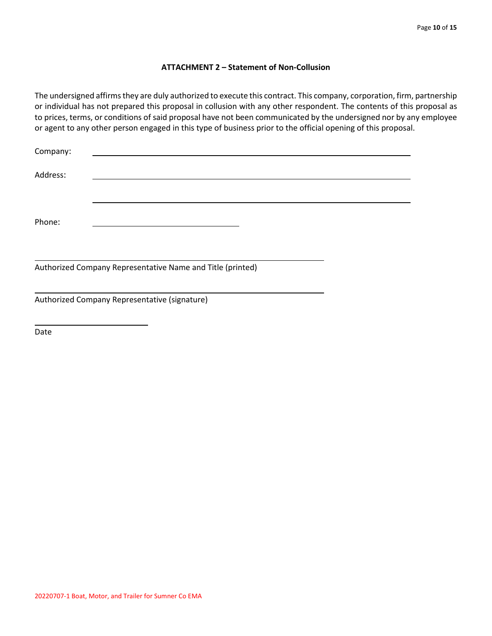#### **ATTACHMENT 2 – Statement of Non-Collusion**

The undersigned affirms they are duly authorized to execute this contract. This company, corporation, firm, partnership or individual has not prepared this proposal in collusion with any other respondent. The contents of this proposal as to prices, terms, or conditions of said proposal have not been communicated by the undersigned nor by any employee or agent to any other person engaged in this type of business prior to the official opening of this proposal.

| Company: |                                                            |  |
|----------|------------------------------------------------------------|--|
| Address: |                                                            |  |
| Phone:   |                                                            |  |
|          | Authorized Company Representative Name and Title (printed) |  |
|          | Authorized Company Representative (signature)              |  |

Date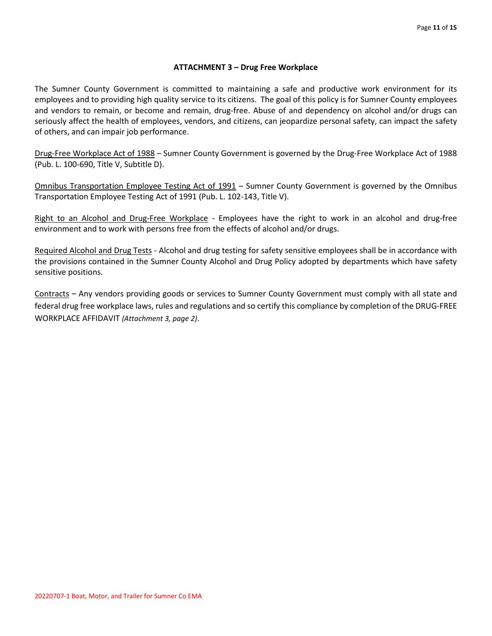## **ATTACHMENT 3 – Drug Free Workplace**

The Sumner County Government is committed to maintaining a safe and productive work environment for its employees and to providing high quality service to its citizens. The goal of this policy is for Sumner County employees and vendors to remain, or become and remain, drug-free. Abuse of and dependency on alcohol and/or drugs can seriously affect the health of employees, vendors, and citizens, can jeopardize personal safety, can impact the safety of others, and can impair job performance.

Drug-Free Workplace Act of 1988 – Sumner County Government is governed by the Drug-Free Workplace Act of 1988 (Pub. L. 100-690, Title V, Subtitle D).

Omnibus Transportation Employee Testing Act of 1991 – Sumner County Government is governed by the Omnibus Transportation Employee Testing Act of 1991 (Pub. L. 102-143, Title V).

Right to an Alcohol and Drug-Free Workplace - Employees have the right to work in an alcohol and drug-free environment and to work with persons free from the effects of alcohol and/or drugs.

Required Alcohol and Drug Tests - Alcohol and drug testing for safety sensitive employees shall be in accordance with the provisions contained in the Sumner County Alcohol and Drug Policy adopted by departments which have safety sensitive positions.

Contracts – Any vendors providing goods or services to Sumner County Government must comply with all state and federal drug free workplace laws, rules and regulations and so certify this compliance by completion of the DRUG-FREE WORKPLACE AFFIDAVIT *(Attachment 3, page 2)*.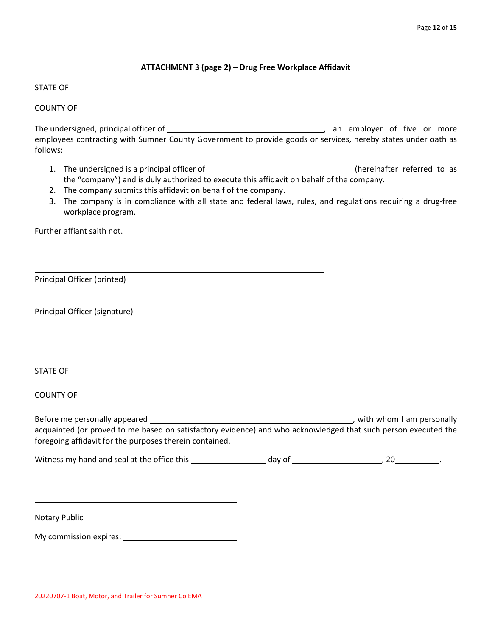#### **ATTACHMENT 3 (page 2) – Drug Free Workplace Affidavit**

STATE OF

COUNTY OF

The undersigned, principal officer of the state of the state of the state of the or more of five or more employees contracting with Sumner County Government to provide goods or services, hereby states under oath as follows:

- 1. The undersigned is a principal officer of (hereinafter referred to as the "company") and is duly authorized to execute this affidavit on behalf of the company.
- 2. The company submits this affidavit on behalf of the company.
- 3. The company is in compliance with all state and federal laws, rules, and regulations requiring a drug-free workplace program.

Further affiant saith not.

Principal Officer (printed)

Principal Officer (signature)

STATE OF

COUNTY OF

Before me personally appeared , with whom I am personally acquainted (or proved to me based on satisfactory evidence) and who acknowledged that such person executed the foregoing affidavit for the purposes therein contained.

| Witness my hand and seal at the office this | dav of |  |
|---------------------------------------------|--------|--|
|---------------------------------------------|--------|--|

Notary Public

My commission expires: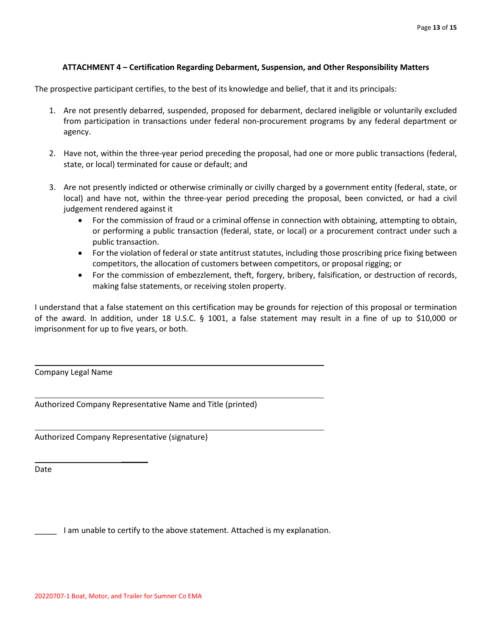## **ATTACHMENT 4 – Certification Regarding Debarment, Suspension, and Other Responsibility Matters**

The prospective participant certifies, to the best of its knowledge and belief, that it and its principals:

- 1. Are not presently debarred, suspended, proposed for debarment, declared ineligible or voluntarily excluded from participation in transactions under federal non-procurement programs by any federal department or agency.
- 2. Have not, within the three-year period preceding the proposal, had one or more public transactions (federal, state, or local) terminated for cause or default; and
- 3. Are not presently indicted or otherwise criminally or civilly charged by a government entity (federal, state, or local) and have not, within the three-year period preceding the proposal, been convicted, or had a civil judgement rendered against it
	- For the commission of fraud or a criminal offense in connection with obtaining, attempting to obtain, or performing a public transaction (federal, state, or local) or a procurement contract under such a public transaction.
	- For the violation of federal or state antitrust statutes, including those proscribing price fixing between competitors, the allocation of customers between competitors, or proposal rigging; or
	- For the commission of embezzlement, theft, forgery, bribery, falsification, or destruction of records, making false statements, or receiving stolen property.

I understand that a false statement on this certification may be grounds for rejection of this proposal or termination of the award. In addition, under 18 U.S.C. § 1001, a false statement may result in a fine of up to \$10,000 or imprisonment for up to five years, or both.

Company Legal Name

Authorized Company Representative Name and Title (printed)

Authorized Company Representative (signature)

 $\overline{\phantom{a}}$ 

Date

\_\_\_\_\_ I am unable to certify to the above statement. Attached is my explanation.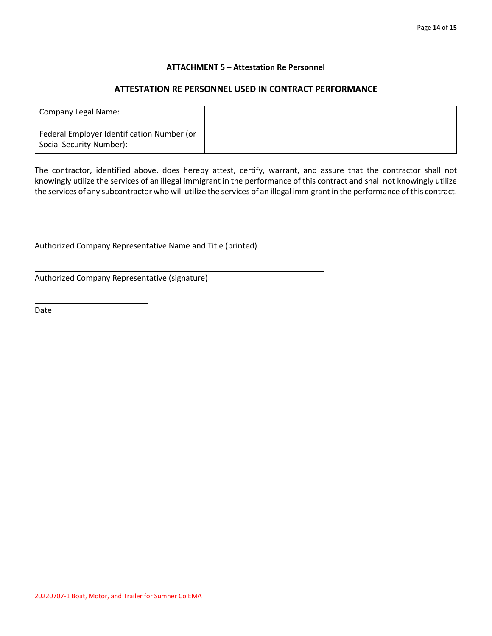#### **ATTACHMENT 5 – Attestation Re Personnel**

## **ATTESTATION RE PERSONNEL USED IN CONTRACT PERFORMANCE**

| Company Legal Name:                                                    |  |
|------------------------------------------------------------------------|--|
| Federal Employer Identification Number (or<br>Social Security Number): |  |

The contractor, identified above, does hereby attest, certify, warrant, and assure that the contractor shall not knowingly utilize the services of an illegal immigrant in the performance of this contract and shall not knowingly utilize the services of any subcontractor who will utilize the services of an illegal immigrant in the performance of this contract.

Authorized Company Representative Name and Title (printed)

Authorized Company Representative (signature)

 $\overline{\phantom{a}}$ 

Date